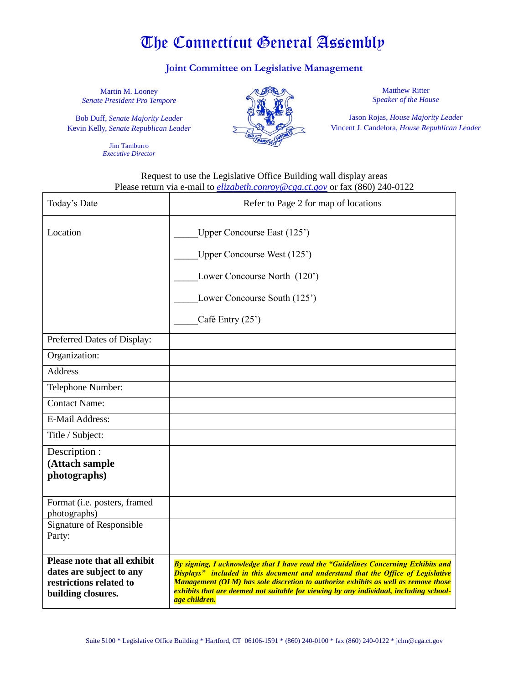# The Connecticut General Assembly

## **Joint Committee on Legislative Management**

Martin M. Looney *Senate President Pro Tempore*

Bob Duff, *Senate Majority Leader* Kevin Kelly, *Senate Republican Leader*

> Jim Tamburro *Executive Director*



Matthew Ritter *Speaker of the House*

Jason Rojas, *House Majority Leader* Vincent J. Candelora, *House Republican Leader*

#### Request to use the Legislative Office Building wall display areas Please return via e-mail to *[elizabeth.conroy@cga.ct.gov](mailto:elizabeth.conroy@cga.ct.gov)* or fax (860) 240-0122

| Today's Date                                                                                              | Refer to Page 2 for map of locations                                                                                                                                                                                                                                                                                                                                     |
|-----------------------------------------------------------------------------------------------------------|--------------------------------------------------------------------------------------------------------------------------------------------------------------------------------------------------------------------------------------------------------------------------------------------------------------------------------------------------------------------------|
| Location                                                                                                  | Upper Concourse East (125')<br>Upper Concourse West (125')<br>Lower Concourse North (120')<br>Lower Concourse South (125')<br>Café Entry (25')                                                                                                                                                                                                                           |
| Preferred Dates of Display:                                                                               |                                                                                                                                                                                                                                                                                                                                                                          |
| Organization:                                                                                             |                                                                                                                                                                                                                                                                                                                                                                          |
| <b>Address</b>                                                                                            |                                                                                                                                                                                                                                                                                                                                                                          |
| Telephone Number:                                                                                         |                                                                                                                                                                                                                                                                                                                                                                          |
| <b>Contact Name:</b>                                                                                      |                                                                                                                                                                                                                                                                                                                                                                          |
| <b>E-Mail Address:</b>                                                                                    |                                                                                                                                                                                                                                                                                                                                                                          |
| Title / Subject:                                                                                          |                                                                                                                                                                                                                                                                                                                                                                          |
| Description :<br>(Attach sample<br>photographs)                                                           |                                                                                                                                                                                                                                                                                                                                                                          |
| Format (i.e. posters, framed<br>photographs)                                                              |                                                                                                                                                                                                                                                                                                                                                                          |
| Signature of Responsible<br>Party:                                                                        |                                                                                                                                                                                                                                                                                                                                                                          |
| Please note that all exhibit<br>dates are subject to any<br>restrictions related to<br>building closures. | By signing, I acknowledge that I have read the "Guidelines Concerning Exhibits and<br>Displays" included in this document and understand that the Office of Legislative<br>Management (OLM) has sole discretion to authorize exhibits as well as remove those<br>exhibits that are deemed not suitable for viewing by any individual, including school-<br>age children. |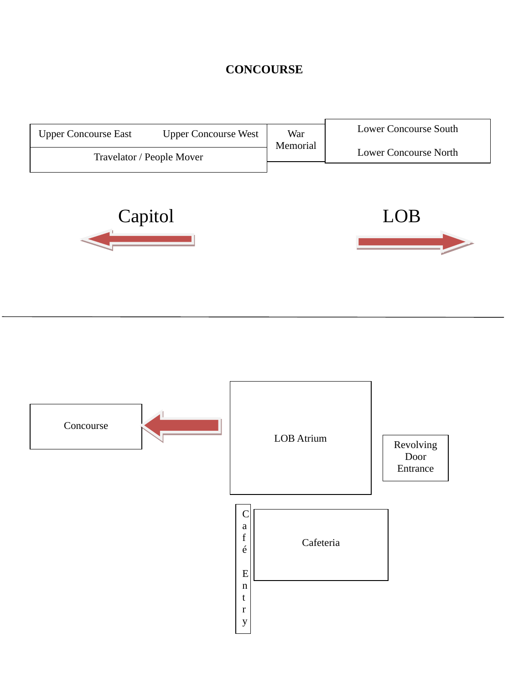## **CONCOURSE**